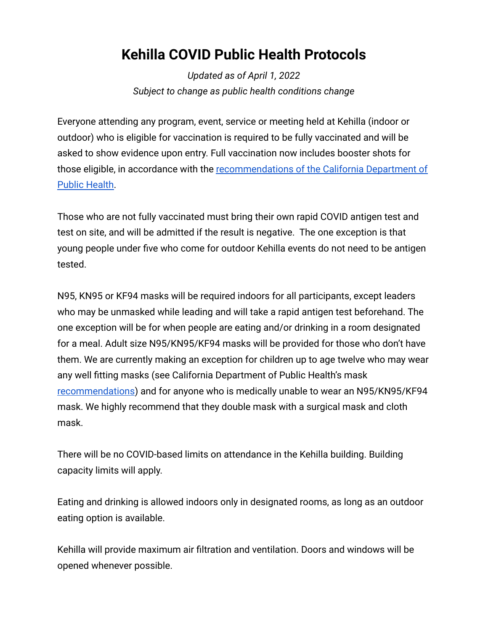## **Kehilla COVID Public Health Protocols**

*Updated as of April 1, 2022 Subject to change as public health conditions change*

Everyone attending any program, event, service or meeting held at Kehilla (indoor or outdoor) who is eligible for vaccination is required to be fully vaccinated and will be asked to show evidence upon entry. Full vaccination now includes booster shots for those eligible, in accordance with the recommendations [of the California Department of](https://www.cdph.ca.gov/Programs/CID/DCDC/Pages/COVID-19/COVID-19-Vaccine-Boosters.aspx) [Public Health.](https://www.cdph.ca.gov/Programs/CID/DCDC/Pages/COVID-19/COVID-19-Vaccine-Boosters.aspx)

Those who are not fully vaccinated must bring their own rapid COVID antigen test and test on site, and will be admitted if the result is negative. The one exception is that young people under five who come for outdoor Kehilla events do not need to be antigen tested.

N95, KN95 or KF94 masks will be required indoors for all participants, except leaders who may be unmasked while leading and will take a rapid antigen test beforehand. The one exception will be for when people are eating and/or drinking in a room designated for a meal. Adult size N95/KN95/KF94 masks will be provided for those who don't have them. We are currently making an exception for children up to age twelve who may wear any well fitting masks (see California Department of Public Health's mask [recommendations](https://www.cdph.ca.gov/Programs/CID/DCDC/Pages/COVID-19/guidance-for-face-coverings.aspx#)) and for anyone who is medically unable to wear an N95/KN95/KF94 mask. We highly recommend that they double mask with a surgical mask and cloth mask.

There will be no COVID-based limits on attendance in the Kehilla building. Building capacity limits will apply.

Eating and drinking is allowed indoors only in designated rooms, as long as an outdoor eating option is available.

Kehilla will provide maximum air filtration and ventilation. Doors and windows will be opened whenever possible.